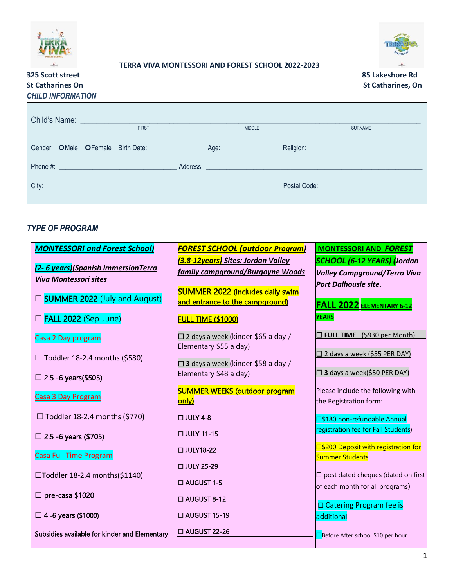



#### **TERRA VIVA MONTESSORI AND FOREST SCHOOL 2022-2023**

## **325 Scott street 85 Lakeshore Rd St Catharines On St Catharines, On** *CHILD INFORMATION*



| <b>FIRST</b>                                                                                                                                                                                                                         | <b>MIDDLE</b>                                                                                                  | <b>SURNAME</b>                     |
|--------------------------------------------------------------------------------------------------------------------------------------------------------------------------------------------------------------------------------------|----------------------------------------------------------------------------------------------------------------|------------------------------------|
| Gender: OMale OFemale Birth Date: Age: Age: 499                                                                                                                                                                                      |                                                                                                                |                                    |
|                                                                                                                                                                                                                                      | Address: 2008 and 2008 and 2008 and 2008 and 2008 and 2008 and 2008 and 2008 and 2008 and 2008 and 2008 and 20 |                                    |
| City: <u>City: City: City: City: City: City: City: City: City: City: City: City: City: City: City: City: City: City: City: City: City: City: City: City: City: City: City: City: City: City: City: City: City: City: City: City:</u> |                                                                                                                | Postal Code: New York Postal Code: |
|                                                                                                                                                                                                                                      |                                                                                                                |                                    |

#### *TYPE OF PROGRAM*

| <b>MONTESSORI and Forest School)</b>          | <b>FOREST SCHOOL (outdoor Program)</b>    | <b>MONTESSORI AND FOREST</b>               |
|-----------------------------------------------|-------------------------------------------|--------------------------------------------|
| (2-6 years) (Spanish Immersion Terra          | (3.8-12years) Sites: Jordan Valley        | <b>SCHOOL (6-12 YEARS) (Jordan</b>         |
| <b>Viva Montessori sites</b>                  | family campground/Burgoyne Woods          | <b>Valley Campground/Terra Viva</b>        |
|                                               | <b>SUMMER 2022 (includes daily swim</b>   | Port Dalhousie site.                       |
| □ <b>SUMMER 2022</b> (July and August)        | and entrance to the campground)           | <b>FALL 2022 ELEMENTARY 6-12</b>           |
| □ FALL 2022 (Sep-June)                        | <b>FULL TIME (\$1000)</b>                 | <b>YEARS</b>                               |
| Casa 2 Day program                            | $\Box$ 2 days a week (kinder \$65 a day / | $\Box$ FULL TIME (\$930 per Month)         |
| $\Box$ Toddler 18-2.4 months (\$580)          | Elementary \$55 a day)                    | $\Box$ 2 days a week (\$55 PER DAY)        |
|                                               | $\Box$ 3 days a week (kinder \$58 a day / |                                            |
| $\Box$ 2.5 -6 years (\$505)                   | Elementary \$48 a day)                    | □ 3 days a week(\$50 PER DAY)              |
| Casa 3 Day Program                            | <b>SUMMER WEEKS (outdoor program</b>      | Please include the following with          |
|                                               | only)                                     | the Registration form:                     |
| $\Box$ Toddler 18-2.4 months (\$770)          | $\Box$ JULY 4-8                           | □\$180 non-refundable Annual               |
| $\Box$ 2.5 -6 years (\$705)                   | □ JULY 11-15                              | registration fee for Fall Students)        |
|                                               | □ JULY18-22                               | □\$200 Deposit with registration for       |
| <b>Casa Full Time Program</b>                 | □ JULY 25-29                              | <b>Summer Students</b>                     |
| □Toddler 18-2.4 months(\$1140)                |                                           | $\Box$ post dated cheques (dated on first  |
|                                               | □ AUGUST 1-5                              | of each month for all programs)            |
| $\Box$ pre-casa \$1020                        | $\Box$ AUGUST 8-12                        | □ Catering Program fee is                  |
| $\Box$ 4 -6 years (\$1000)                    | □ AUGUST 15-19                            | additional                                 |
| Subsidies available for kinder and Elementary | □ AUGUST 22-26                            | <b>□</b> Before After school \$10 per hour |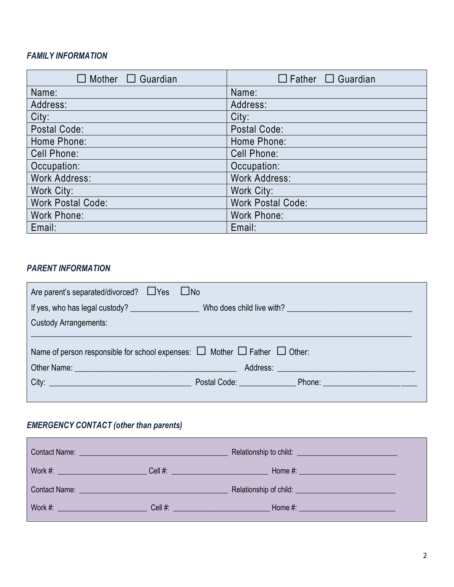### *FAMILY INFORMATION*

| Mother $\Box$ Guardian   | $\Box$ Father $\Box$ Guardian |
|--------------------------|-------------------------------|
| Name:                    | Name:                         |
| Address:                 | Address:                      |
| City:                    | City:                         |
| Postal Code:             | Postal Code:                  |
| Home Phone:              | Home Phone:                   |
| <b>Cell Phone:</b>       | Cell Phone:                   |
| Occupation:              | Occupation:                   |
| <b>Work Address:</b>     | <b>Work Address:</b>          |
| Work City:               | Work City:                    |
| <b>Work Postal Code:</b> | <b>Work Postal Code:</b>      |
| Work Phone:              | <b>Work Phone:</b>            |
| Email:                   | Email:                        |

### *PARENT INFORMATION*

| Are parent's separated/divorced? □ Yes □ No                                                                                                                                                                                                                                                                                                                                                                                                                          |  |  |  |  |  |
|----------------------------------------------------------------------------------------------------------------------------------------------------------------------------------------------------------------------------------------------------------------------------------------------------------------------------------------------------------------------------------------------------------------------------------------------------------------------|--|--|--|--|--|
|                                                                                                                                                                                                                                                                                                                                                                                                                                                                      |  |  |  |  |  |
| <b>Custody Arrangements:</b>                                                                                                                                                                                                                                                                                                                                                                                                                                         |  |  |  |  |  |
| Name of person responsible for school expenses: $\Box$ Mother $\Box$ Father $\Box$ Other:                                                                                                                                                                                                                                                                                                                                                                            |  |  |  |  |  |
|                                                                                                                                                                                                                                                                                                                                                                                                                                                                      |  |  |  |  |  |
| Other Name: <u>Communications</u> and the contract of the contract of the contract of the contract of the contract of the contract of the contract of the contract of the contract of the contract of the contract of the contract<br>Address: No. 1996. Address: No. 1997. The Contract of the Contract of the Contract of the Contract of the Contract of the Contract of the Contract of the Contract of the Contract of the Contract of the Contract of the Cont |  |  |  |  |  |
|                                                                                                                                                                                                                                                                                                                                                                                                                                                                      |  |  |  |  |  |
|                                                                                                                                                                                                                                                                                                                                                                                                                                                                      |  |  |  |  |  |

# *EMERGENCY CONTACT (other than parents)*

|                                          | Contact Name: University of Contact Name:                  |  |
|------------------------------------------|------------------------------------------------------------|--|
|                                          |                                                            |  |
|                                          |                                                            |  |
| <u>Work #: _________________________</u> | Cell #: <u>Alexander Andrew Alexander Andrew Alexander</u> |  |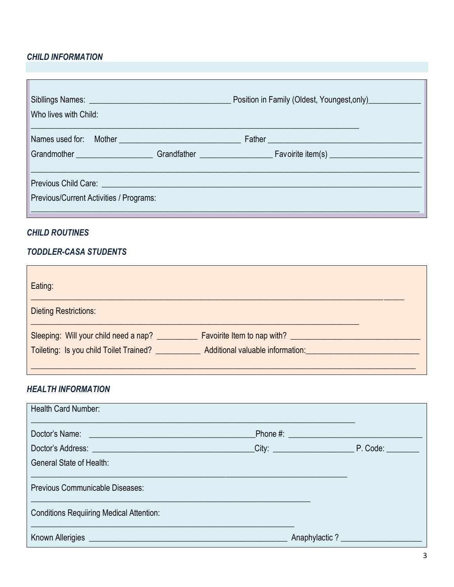### **CHILD INFORMATION**

| Who lives with Child:                                | Position in Family (Oldest, Youngest, only)           |
|------------------------------------------------------|-------------------------------------------------------|
| Names used for: Mother <b>Names</b> used for: Mother |                                                       |
|                                                      | Grandmother Grandfather Grandfather Favoirite item(s) |
|                                                      |                                                       |
|                                                      |                                                       |
| Previous/Current Activities / Programs:              |                                                       |
|                                                      |                                                       |

#### **CHILD ROUTINES**

#### **TODDLER-CASA STUDENTS**

| Eating:                                 |                                    |  |
|-----------------------------------------|------------------------------------|--|
| <b>Dieting Restrictions:</b>            |                                    |  |
| Sleeping: Will your child need a nap?   | <b>Favoirite Item to nap with?</b> |  |
| Toileting: Is you child Toilet Trained? | Additional valuable information:   |  |
|                                         |                                    |  |

### **HEALTH INFORMATION**

| <b>Health Card Number:</b>                                                                     |               |  |
|------------------------------------------------------------------------------------------------|---------------|--|
|                                                                                                |               |  |
|                                                                                                |               |  |
| General State of Health:                                                                       |               |  |
| Previous Communicable Diseases:                                                                |               |  |
| <b>Conditions Requiiring Medical Attention:</b>                                                |               |  |
| Known Allerigies <b>Allerigies Contract Allerigies Contract Allerigies Contract Allerigies</b> | Anaphylactic? |  |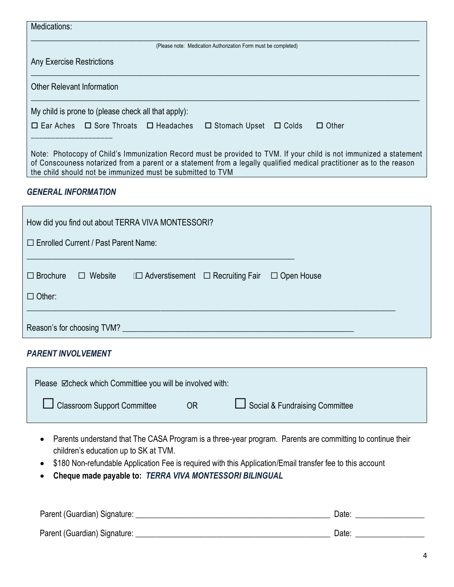| Medications:                                                                                                                                                                                                                                                                                             |
|----------------------------------------------------------------------------------------------------------------------------------------------------------------------------------------------------------------------------------------------------------------------------------------------------------|
| (Please note: Medication Authorization Form must be completed)                                                                                                                                                                                                                                           |
| Any Exercise Restrictions                                                                                                                                                                                                                                                                                |
| Other Relevant Information                                                                                                                                                                                                                                                                               |
| My child is prone to (please check all that apply):                                                                                                                                                                                                                                                      |
| $\Box$ Ear Aches $\Box$ Sore Throats $\Box$ Headaches<br>$\Box$ Stomach Upset<br>$\Box$ Other<br>$\Box$ Colds                                                                                                                                                                                            |
| Note: Photocopy of Child's Immunization Record must be provided to TVM. If your child is not immunized a statement<br>of Conscouness notarized from a parent or a statement from a legally qualified medical practitioner as to the reason<br>the child should not be immunized must be submitted to TVM |

#### *GENERAL INFORMATION*

| How did you find out about TERRA VIVA MONTESSORI? |                |                                              |  |                   |  |  |
|---------------------------------------------------|----------------|----------------------------------------------|--|-------------------|--|--|
| $\Box$ Enrolled Current / Past Parent Name:       |                |                                              |  |                   |  |  |
| $\Box$ Brochure<br>$\Box$ Other:                  | $\Box$ Website | $\Box$ Adverstisement $\Box$ Recruiting Fair |  | $\Box$ Open House |  |  |
| Reason's for choosing TVM?                        |                |                                              |  |                   |  |  |

#### *PARENT INVOLVEMENT*

| Please ⊠check which Committiee you will be involved with: |    |                                |
|-----------------------------------------------------------|----|--------------------------------|
| LJ Classroom Support Committee                            | 0R | Social & Fundraising Committee |

- Parents understand that The CASA Program is a three-year program. Parents are committing to continue their children's education up to SK at TVM.
- \$180 Non-refundable Application Fee is required with this Application/Email transfer fee to this account
- **Cheque made payable to:** *TERRA VIVA MONTESSORI BILINGUAL*

| Parent (Guardian) Signature: | Date: |  |
|------------------------------|-------|--|
|                              |       |  |
| Parent (Guardian) Signature: | Date: |  |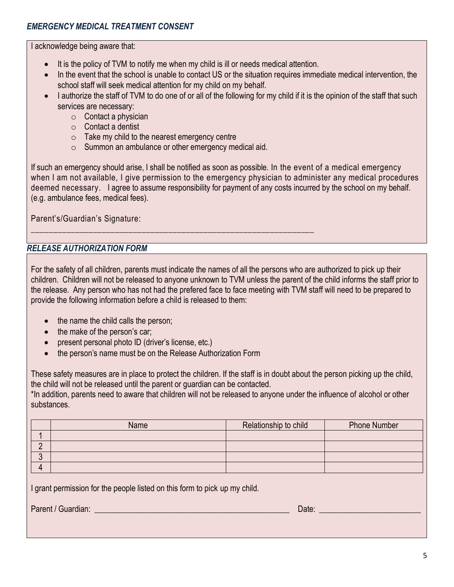I acknowledge being aware that:

- It is the policy of TVM to notify me when my child is ill or needs medical attention.
- In the event that the school is unable to contact US or the situation requires immediate medical intervention, the school staff will seek medical attention for my child on my behalf.
- I authorize the staff of TVM to do one of or all of the following for my child if it is the opinion of the staff that such services are necessary:
	- $\circ$  Contact a physician
	- o Contact a dentist
	- $\circ$  Take my child to the nearest emergency centre
	- o Summon an ambulance or other emergency medical aid.

\_\_\_\_\_\_\_\_\_\_\_\_\_\_\_\_\_\_\_\_\_\_\_\_\_\_\_\_\_\_\_\_\_\_\_\_\_\_\_\_\_\_\_\_\_\_\_\_\_\_\_\_\_\_\_\_\_\_\_\_\_\_\_\_

If such an emergency should arise, I shall be notified as soon as possible. In the event of a medical emergency when I am not available, I give permission to the emergency physician to administer any medical procedures deemed necessary. I agree to assume responsibility for payment of any costs incurred by the school on my behalf. (e.g. ambulance fees, medical fees).

Parent's/Guardian's Signature:

### *RELEASE AUTHORIZATION FORM*

For the safety of all children, parents must indicate the names of all the persons who are authorized to pick up their children. Children will not be released to anyone unknown to TVM unless the parent of the child informs the staff prior to the release. Any person who has not had the prefered face to face meeting with TVM staff will need to be prepared to provide the following information before a child is released to them:

- the name the child calls the person;
- the make of the person's car;
- present personal photo ID (driver's license, etc.)
- the person's name must be on the Release Authorization Form

These safety measures are in place to protect the children. If the staff is in doubt about the person picking up the child, the child will not be released until the parent or guardian can be contacted.

\*In addition, parents need to aware that children will not be released to anyone under the influence of alcohol or other substances.

|   | Name | Relationship to child | <b>Phone Number</b> |
|---|------|-----------------------|---------------------|
|   |      |                       |                     |
|   |      |                       |                     |
| υ |      |                       |                     |
|   |      |                       |                     |

I grant permission for the people listed on this form to pick up my child.

Parent / Guardian: \_\_\_\_\_\_\_\_\_\_\_\_\_\_\_\_\_\_\_\_\_\_\_\_\_\_\_\_\_\_\_\_\_\_\_\_\_\_\_\_\_\_\_\_\_\_\_\_ Date: \_\_\_\_\_\_\_\_\_\_\_\_\_\_\_\_\_\_\_\_\_\_\_\_\_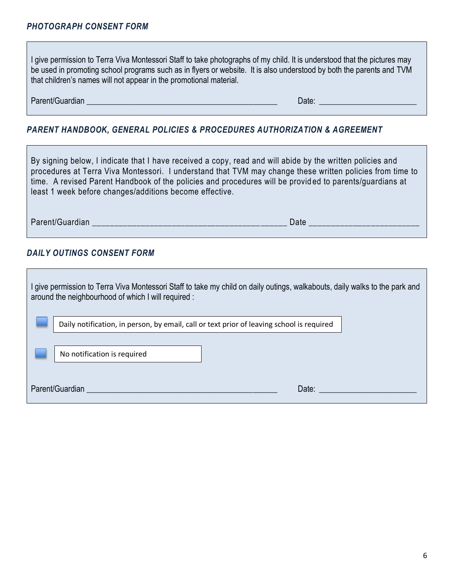I give permission to Terra Viva Montessori Staff to take photographs of my child. It is understood that the pictures may be used in promoting school programs such as in flyers or website. It is also understood by both the parents and TVM that children's names will not appear in the promotional material.

Parent/Guardian \_\_\_\_\_\_\_\_\_\_\_\_\_\_\_\_\_\_\_\_\_\_\_\_\_\_\_\_\_\_\_\_\_\_\_\_\_\_\_\_\_\_\_\_\_\_\_ Date: \_\_\_\_\_\_\_\_\_\_\_\_\_\_\_\_\_\_\_\_\_\_\_\_

### *PARENT HANDBOOK, GENERAL POLICIES & PROCEDURES AUTHORIZATION & AGREEMENT*

By signing below, I indicate that I have received a copy, read and will abide by the written policies and procedures at Terra Viva Montessori. I understand that TVM may change these written policies from time to time. A revised Parent Handbook of the policies and procedures will be provid ed to parents/guardians at least 1 week before changes/additions become effective.

Parent/Guardian \_\_\_\_\_\_\_\_\_\_\_\_\_\_\_\_\_\_\_\_\_\_\_\_\_\_\_\_\_\_\_\_\_\_\_\_\_\_\_\_\_\_\_\_ Date \_\_\_\_\_\_\_\_\_\_\_\_\_\_\_\_\_\_\_\_\_\_\_\_\_

#### *DAILY OUTINGS CONSENT FORM*

| l give permission to Terra Viva Montessori Staff to take my child on daily outings, walkabouts, daily walks to the park and<br>around the neighbourhood of which I will required : |                                                                                           |       |  |  |
|------------------------------------------------------------------------------------------------------------------------------------------------------------------------------------|-------------------------------------------------------------------------------------------|-------|--|--|
|                                                                                                                                                                                    | Daily notification, in person, by email, call or text prior of leaving school is required |       |  |  |
|                                                                                                                                                                                    | No notification is required                                                               |       |  |  |
| Parent/Guardian                                                                                                                                                                    |                                                                                           | Date: |  |  |